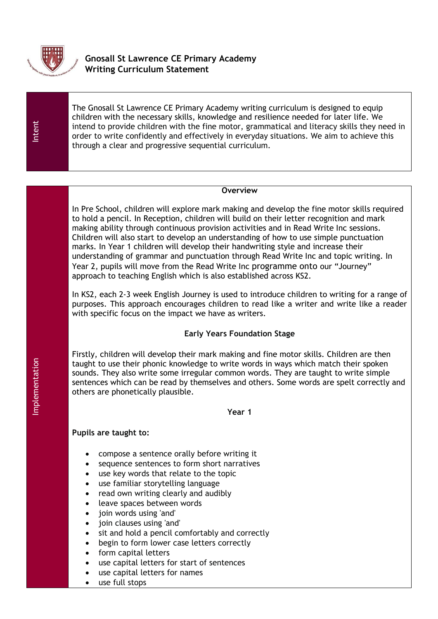

# **Gnosall St Lawrence CE Primary Academy Writing Curriculum Statement**

Intent

The Gnosall St Lawrence CE Primary Academy writing curriculum is designed to equip children with the necessary skills, knowledge and resilience needed for later life. We intend to provide children with the fine motor, grammatical and literacy skills they need in order to write confidently and effectively in everyday situations. We aim to achieve this through a clear and progressive sequential curriculum.

#### **Overview**

In Pre School, children will explore mark making and develop the fine motor skills required to hold a pencil. In Reception, children will build on their letter recognition and mark making ability through continuous provision activities and in Read Write Inc sessions. Children will also start to develop an understanding of how to use simple punctuation marks. In Year 1 children will develop their handwriting style and increase their understanding of grammar and punctuation through Read Write Inc and topic writing. In Year 2, pupils will move from the Read Write Inc programme onto our "Journey" approach to teaching English which is also established across KS2.

In KS2, each 2-3 week English Journey is used to introduce children to writing for a range of purposes. This approach encourages children to read like a writer and write like a reader with specific focus on the impact we have as writers.

#### **Early Years Foundation Stage**

Firstly, children will develop their mark making and fine motor skills. Children are then taught to use their phonic knowledge to write words in ways which match their spoken sounds. They also write some irregular common words. They are taught to write simple sentences which can be read by themselves and others. Some words are spelt correctly and others are phonetically plausible.

#### **Year 1**

- compose a sentence orally before writing it
- sequence sentences to form short narratives
- use key words that relate to the topic
- use familiar storytelling language
- read own writing clearly and audibly
- leave spaces between words
- join words using 'and'
- join clauses using 'and'
- sit and hold a pencil comfortably and correctly
- begin to form lower case letters correctly
- form capital letters
- use capital letters for start of sentences
- use capital letters for names
- use full stops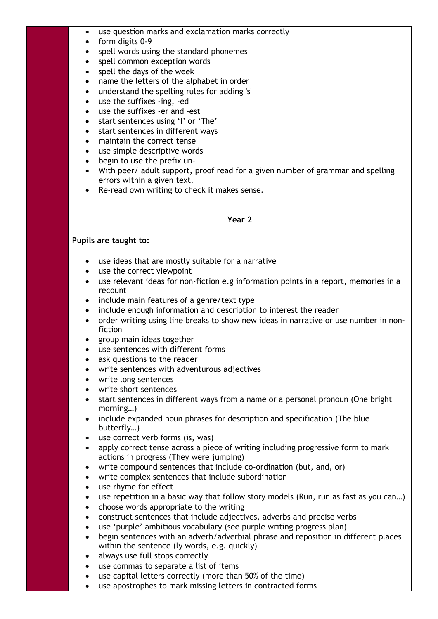- use question marks and exclamation marks correctly
- form digits 0-9
- spell words using the standard phonemes
- spell common exception words
- spell the days of the week
- name the letters of the alphabet in order
- understand the spelling rules for adding 's'
- use the suffixes -ing, -ed
- use the suffixes -er and -est
- start sentences using 'I' or 'The'
- start sentences in different ways
- maintain the correct tense
- use simple descriptive words
- begin to use the prefix un-
- With peer/ adult support, proof read for a given number of grammar and spelling errors within a given text.
- Re-read own writing to check it makes sense.

#### **Year 2**

- use ideas that are mostly suitable for a narrative
- use the correct viewpoint
- use relevant ideas for non-fiction e.g information points in a report, memories in a recount
- include main features of a genre/text type
- include enough information and description to interest the reader
- order writing using line breaks to show new ideas in narrative or use number in nonfiction
- group main ideas together
- use sentences with different forms
- ask questions to the reader
- write sentences with adventurous adjectives
- write long sentences
- write short sentences
- start sentences in different ways from a name or a personal pronoun (One bright morning…)
- include expanded noun phrases for description and specification (The blue butterfly…)
- use correct verb forms (is, was)
- apply correct tense across a piece of writing including progressive form to mark actions in progress (They were jumping)
- write compound sentences that include co-ordination (but, and, or)
- write complex sentences that include subordination
- use rhyme for effect
- use repetition in a basic way that follow story models (Run, run as fast as you can…)
- choose words appropriate to the writing
- construct sentences that include adjectives, adverbs and precise verbs
- use 'purple' ambitious vocabulary (see purple writing progress plan)
- begin sentences with an adverb/adverbial phrase and reposition in different places within the sentence (ly words, e.g. quickly)
- always use full stops correctly
- use commas to separate a list of items
- use capital letters correctly (more than 50% of the time)
- use apostrophes to mark missing letters in contracted forms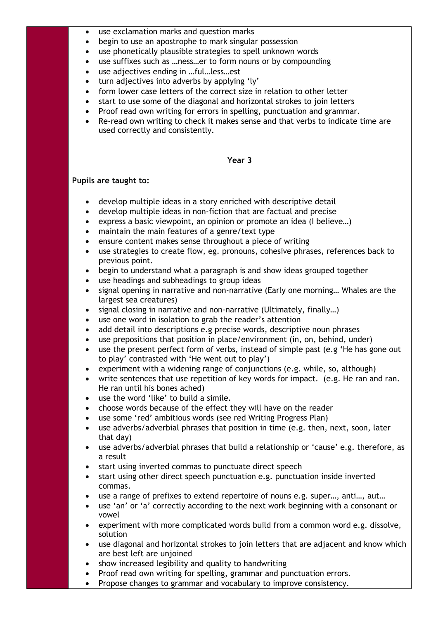- use exclamation marks and question marks
- begin to use an apostrophe to mark singular possession
- use phonetically plausible strategies to spell unknown words
- use suffixes such as …ness…er to form nouns or by compounding
- use adjectives ending in …ful…less…est
- turn adjectives into adverbs by applying 'ly'
- form lower case letters of the correct size in relation to other letter
- start to use some of the diagonal and horizontal strokes to join letters
- Proof read own writing for errors in spelling, punctuation and grammar.
- Re-read own writing to check it makes sense and that verbs to indicate time are used correctly and consistently.

## **Year 3**

- develop multiple ideas in a story enriched with descriptive detail
- develop multiple ideas in non-fiction that are factual and precise
- express a basic viewpoint, an opinion or promote an idea (I believe…)
- maintain the main features of a genre/text type
- ensure content makes sense throughout a piece of writing
- use strategies to create flow, eg. pronouns, cohesive phrases, references back to previous point.
- begin to understand what a paragraph is and show ideas grouped together
- use headings and subheadings to group ideas
- signal opening in narrative and non-narrative (Early one morning… Whales are the largest sea creatures)
- signal closing in narrative and non-narrative (Ultimately, finally...)
- use one word in isolation to grab the reader's attention
- add detail into descriptions e.g precise words, descriptive noun phrases
- use prepositions that position in place/environment (in, on, behind, under)
- use the present perfect form of verbs, instead of simple past (e.g 'He has gone out to play' contrasted with 'He went out to play')
- experiment with a widening range of conjunctions (e.g. while, so, although)
- write sentences that use repetition of key words for impact. (e.g. He ran and ran. He ran until his bones ached)
- use the word 'like' to build a simile.
- choose words because of the effect they will have on the reader
- use some 'red' ambitious words (see red Writing Progress Plan)
- use adverbs/adverbial phrases that position in time (e.g. then, next, soon, later that day)
- use adverbs/adverbial phrases that build a relationship or 'cause' e.g. therefore, as a result
- start using inverted commas to punctuate direct speech
- start using other direct speech punctuation e.g. punctuation inside inverted commas.
- use a range of prefixes to extend repertoire of nouns e.g. super…, anti…, aut…
- use 'an' or 'a' correctly according to the next work beginning with a consonant or vowel
- experiment with more complicated words build from a common word e.g. dissolve, solution
- use diagonal and horizontal strokes to join letters that are adjacent and know which are best left are unjoined
- show increased legibility and quality to handwriting
- Proof read own writing for spelling, grammar and punctuation errors.
- Propose changes to grammar and vocabulary to improve consistency.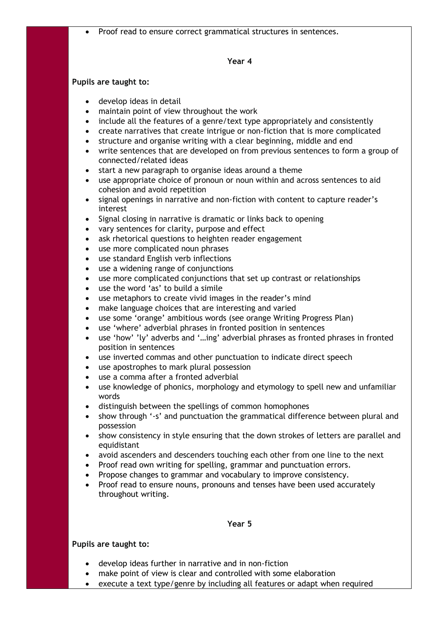Proof read to ensure correct grammatical structures in sentences.

#### **Year 4**

#### **Pupils are taught to:**

- develop ideas in detail
- maintain point of view throughout the work
- include all the features of a genre/text type appropriately and consistently
- create narratives that create intrigue or non-fiction that is more complicated
- structure and organise writing with a clear beginning, middle and end
- write sentences that are developed on from previous sentences to form a group of connected/related ideas
- start a new paragraph to organise ideas around a theme
- use appropriate choice of pronoun or noun within and across sentences to aid cohesion and avoid repetition
- signal openings in narrative and non-fiction with content to capture reader's interest
- Signal closing in narrative is dramatic or links back to opening
- vary sentences for clarity, purpose and effect
- ask rhetorical questions to heighten reader engagement
- use more complicated noun phrases
- use standard English verb inflections
- use a widening range of conjunctions
- use more complicated conjunctions that set up contrast or relationships
- use the word 'as' to build a simile
- use metaphors to create vivid images in the reader's mind
- make language choices that are interesting and varied
- use some 'orange' ambitious words (see orange Writing Progress Plan)
- use 'where' adverbial phrases in fronted position in sentences
- use 'how' 'ly' adverbs and '…ing' adverbial phrases as fronted phrases in fronted position in sentences
- use inverted commas and other punctuation to indicate direct speech
- use apostrophes to mark plural possession
- use a comma after a fronted adverbial
- use knowledge of phonics, morphology and etymology to spell new and unfamiliar words
- distinguish between the spellings of common homophones
- show through '-s' and punctuation the grammatical difference between plural and possession
- show consistency in style ensuring that the down strokes of letters are parallel and equidistant
- avoid ascenders and descenders touching each other from one line to the next
- Proof read own writing for spelling, grammar and punctuation errors.
- Propose changes to grammar and vocabulary to improve consistency.
- Proof read to ensure nouns, pronouns and tenses have been used accurately throughout writing.

#### **Year 5**

- develop ideas further in narrative and in non-fiction
- make point of view is clear and controlled with some elaboration
- execute a text type/genre by including all features or adapt when required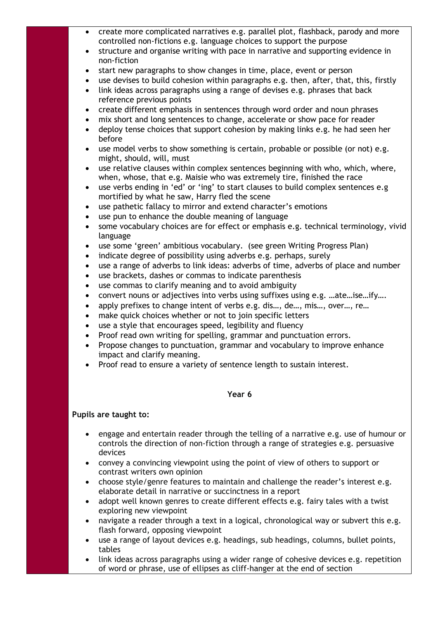- create more complicated narratives e.g. parallel plot, flashback, parody and more controlled non-fictions e.g. language choices to support the purpose
- structure and organise writing with pace in narrative and supporting evidence in non-fiction
- start new paragraphs to show changes in time, place, event or person
- use devises to build cohesion within paragraphs e.g. then, after, that, this, firstly
- link ideas across paragraphs using a range of devises e.g. phrases that back reference previous points
- create different emphasis in sentences through word order and noun phrases
- mix short and long sentences to change, accelerate or show pace for reader
- deploy tense choices that support cohesion by making links e.g. he had seen her before
- use model verbs to show something is certain, probable or possible (or not) e.g. might, should, will, must
- use relative clauses within complex sentences beginning with who, which, where, when, whose, that e.g. Maisie who was extremely tire, finished the race
- use verbs ending in 'ed' or 'ing' to start clauses to build complex sentences e.g mortified by what he saw, Harry fled the scene
- use pathetic fallacy to mirror and extend character's emotions
- use pun to enhance the double meaning of language
- some vocabulary choices are for effect or emphasis e.g. technical terminology, vivid language
- use some 'green' ambitious vocabulary. (see green Writing Progress Plan)
- indicate degree of possibility using adverbs e.g. perhaps, surely
- use a range of adverbs to link ideas: adverbs of time, adverbs of place and number
- use brackets, dashes or commas to indicate parenthesis
- use commas to clarify meaning and to avoid ambiguity
- convert nouns or adjectives into verbs using suffixes using e.g. …ate…ise…ify….
- apply prefixes to change intent of verbs e.g. dis…, de…, mis…, over…, re…
- make quick choices whether or not to join specific letters
- use a style that encourages speed, legibility and fluency
- Proof read own writing for spelling, grammar and punctuation errors.
- Propose changes to punctuation, grammar and vocabulary to improve enhance impact and clarify meaning.
- Proof read to ensure a variety of sentence length to sustain interest.

#### **Year 6**

- engage and entertain reader through the telling of a narrative e.g. use of humour or controls the direction of non-fiction through a range of strategies e.g. persuasive devices
- convey a convincing viewpoint using the point of view of others to support or contrast writers own opinion
- choose style/genre features to maintain and challenge the reader's interest e.g. elaborate detail in narrative or succinctness in a report
- adopt well known genres to create different effects e.g. fairy tales with a twist exploring new viewpoint
- navigate a reader through a text in a logical, chronological way or subvert this e.g. flash forward, opposing viewpoint
- use a range of layout devices e.g. headings, sub headings, columns, bullet points, tables
- link ideas across paragraphs using a wider range of cohesive devices e.g. repetition of word or phrase, use of ellipses as cliff-hanger at the end of section